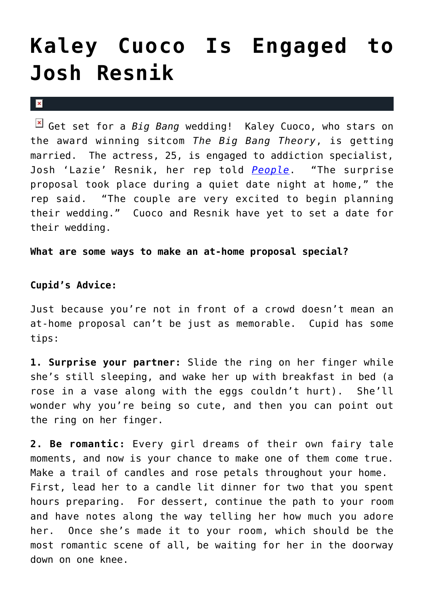## **[Kaley Cuoco Is Engaged to](https://cupidspulse.com/21921/kaley-cuoco-big-bang-theory-actress-engaged-to-josh-resnik-addiction-specialist/) [Josh Resnik](https://cupidspulse.com/21921/kaley-cuoco-big-bang-theory-actress-engaged-to-josh-resnik-addiction-specialist/)**

 $\mathbf x$ 

Get set for a *Big Bang* wedding! Kaley Cuoco, who stars on the award winning sitcom *The Big Bang Theory*, is getting married. The actress, 25, is engaged to addiction specialist, Josh 'Lazie' Resnik, her rep told *[People](http://www.people.com/people/article/0,,20539862,00.html)*. "The surprise proposal took place during a quiet date night at home," the rep said. "The couple are very excited to begin planning their wedding." Cuoco and Resnik have yet to set a date for their wedding.

**What are some ways to make an at-home proposal special?**

## **Cupid's Advice:**

Just because you're not in front of a crowd doesn't mean an at-home proposal can't be just as memorable. Cupid has some tips:

**1. Surprise your partner:** Slide the ring on her finger while she's still sleeping, and wake her up with breakfast in bed (a rose in a vase along with the eggs couldn't hurt). She'll wonder why you're being so cute, and then you can point out the ring on her finger.

**2. Be romantic:** Every girl dreams of their own fairy tale moments, and now is your chance to make one of them come true. Make a trail of candles and rose petals throughout your home. First, lead her to a candle lit dinner for two that you spent hours preparing. For dessert, continue the path to your room and have notes along the way telling her how much you adore her. Once she's made it to your room, which should be the most romantic scene of all, be waiting for her in the doorway down on one knee.